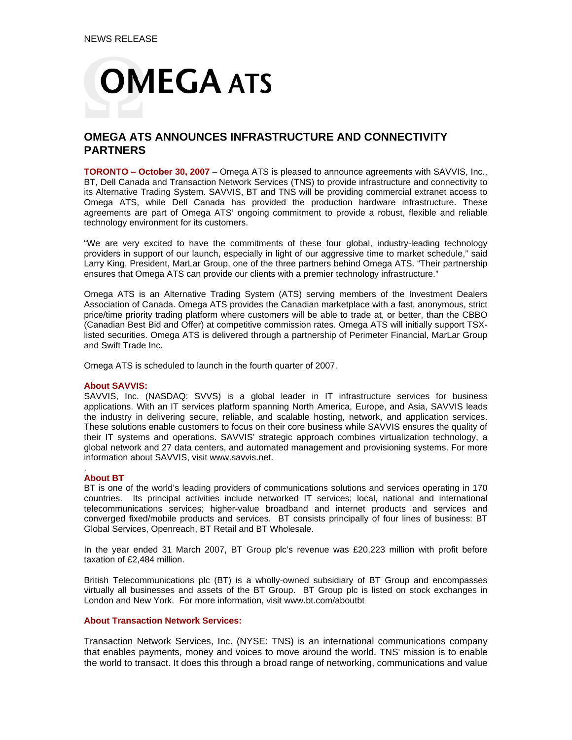

# **OMEGA ATS ANNOUNCES INFRASTRUCTURE AND CONNECTIVITY PARTNERS**

**TORONTO – October 30, 2007** – Omega ATS is pleased to announce agreements with SAVVIS, Inc., BT, Dell Canada and Transaction Network Services (TNS) to provide infrastructure and connectivity to its Alternative Trading System. SAVVIS, BT and TNS will be providing commercial extranet access to Omega ATS, while Dell Canada has provided the production hardware infrastructure. These agreements are part of Omega ATS' ongoing commitment to provide a robust, flexible and reliable technology environment for its customers.

"We are very excited to have the commitments of these four global, industry-leading technology providers in support of our launch, especially in light of our aggressive time to market schedule," said Larry King, President, MarLar Group, one of the three partners behind Omega ATS. "Their partnership ensures that Omega ATS can provide our clients with a premier technology infrastructure."

Omega ATS is an Alternative Trading System (ATS) serving members of the Investment Dealers Association of Canada. Omega ATS provides the Canadian marketplace with a fast, anonymous, strict price/time priority trading platform where customers will be able to trade at, or better, than the CBBO (Canadian Best Bid and Offer) at competitive commission rates. Omega ATS will initially support TSXlisted securities. Omega ATS is delivered through a partnership of Perimeter Financial, MarLar Group and Swift Trade Inc.

Omega ATS is scheduled to launch in the fourth quarter of 2007.

## **About SAVVIS:**

SAVVIS, Inc. (NASDAQ: SVVS) is a global leader in IT infrastructure services for business applications. With an IT services platform spanning North America, Europe, and Asia, SAVVIS leads the industry in delivering secure, reliable, and scalable hosting, network, and application services. These solutions enable customers to focus on their core business while SAVVIS ensures the quality of their IT systems and operations. SAVVIS' strategic approach combines virtualization technology, a global network and 27 data centers, and automated management and provisioning systems. For more information about SAVVIS, visit www.savvis.net.

#### . **About BT**

BT is one of the world's leading providers of communications solutions and services operating in 170 countries. Its principal activities include networked IT services; local, national and international telecommunications services; higher-value broadband and internet products and services and converged fixed/mobile products and services. BT consists principally of four lines of business: BT Global Services, Openreach, BT Retail and BT Wholesale.

In the year ended 31 March 2007, BT Group plc's revenue was £20,223 million with profit before taxation of £2,484 million.

British Telecommunications plc (BT) is a wholly-owned subsidiary of BT Group and encompasses virtually all businesses and assets of the BT Group. BT Group plc is listed on stock exchanges in London and New York. For more information, visit www.bt.com/aboutbt

## **About Transaction Network Services:**

Transaction Network Services, Inc. (NYSE: TNS) is an international communications company that enables payments, money and voices to move around the world. TNS' mission is to enable the world to transact. It does this through a broad range of networking, communications and value